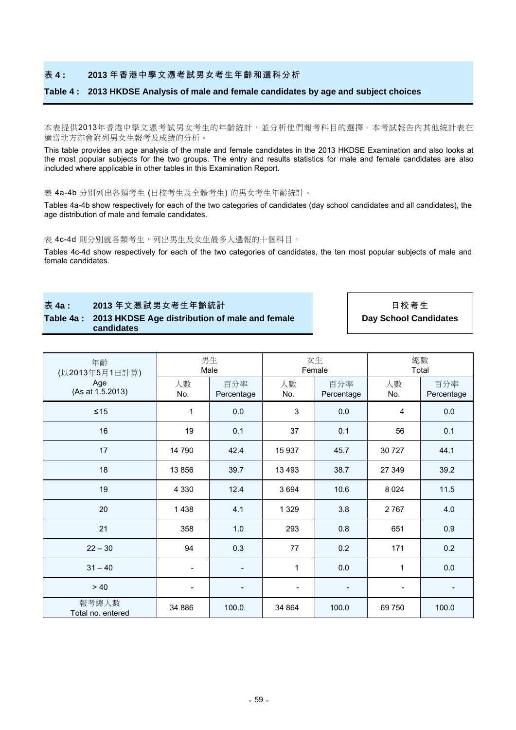#### 表 **4 : 2013** 年香港中學文憑考試男女考生年齡和選科分析

### **Table 4 : 2013 HKDSE Analysis of male and female candidates by age and subject choices**

本表提供2013年香港中學文憑考試男女考生的年齡統計,並分析他們報考科目的選擇。本考試報告內其他統計表在 適當地方亦會附列男女生報考及成績的分析。

This table provides an age analysis of the male and female candidates in the 2013 HKDSE Examination and also looks at the most popular subjects for the two groups. The entry and results statistics for male and female candidates are also included where applicable in other tables in this Examination Report.

表 4a-4b 分別列出各類考生 (日校考生及全體考生) 的男女考生年齡統計。

Tables 4a-4b show respectively for each of the two categories of candidates (day school candidates and all candidates), the age distribution of male and female candidates.

表 4c-4d 則分別就各類考生,列出男生及女生最多人選報的十個科目。

Tables 4c-4d show respectively for each of the two categories of candidates, the ten most popular subjects of male and female candidates.

表 **4a : 2013** 年文憑試男女考生年齡統計 日校考生

**Table 4a : 2013 HKDSE Age distribution of male and female candidates**

**Day School Candidates**

| 年齡<br>(以2013年5月1日計算)<br>Age<br>(As at 1.5.2013) | 男生<br>Male |                          | 女生<br>Female             |                          | 總數<br>Total              |                          |
|-------------------------------------------------|------------|--------------------------|--------------------------|--------------------------|--------------------------|--------------------------|
|                                                 | 人數<br>No.  | 百分率<br>Percentage        | 人數<br>No.                | 百分率<br>Percentage        | 人數<br>No.                | 百分率<br>Percentage        |
| $\leq 15$                                       | 1          | 0.0                      | 3                        | 0.0                      | 4                        | 0.0                      |
| 16                                              | 19         | 0.1                      | 37                       | 0.1                      | 56                       | 0.1                      |
| 17                                              | 14 790     | 42.4                     | 15 937                   | 45.7                     | 30 727                   | 44.1                     |
| 18                                              | 13 856     | 39.7                     | 13 4 93                  | 38.7                     | 27 349                   | 39.2                     |
| 19                                              | 4 3 3 0    | 12.4                     | 3694                     | 10.6                     | 8 0 24                   | 11.5                     |
| 20                                              | 1438       | 4.1                      | 1 3 2 9                  | 3.8                      | 2767                     | 4.0                      |
| 21                                              | 358        | 1.0                      | 293                      | 0.8                      | 651                      | 0.9                      |
| $22 - 30$                                       | 94         | 0.3                      | 77                       | 0.2                      | 171                      | 0.2                      |
| $31 - 40$                                       |            |                          | 1                        | 0.0                      | 1                        | 0.0                      |
| > 40                                            |            | $\overline{\phantom{a}}$ | $\overline{\phantom{a}}$ | $\overline{\phantom{a}}$ | $\overline{\phantom{a}}$ | $\overline{\phantom{a}}$ |
| 報考總人數<br>Total no. entered                      | 34 886     | 100.0                    | 34 864                   | 100.0                    | 69 750                   | 100.0                    |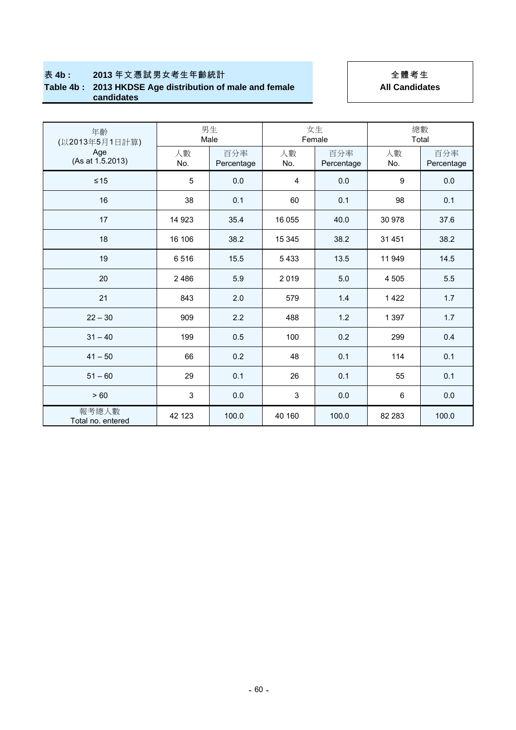## 表 4b : 2013年文憑試男女考生年齡統計 | | 全體考生 **Table 4b : 2013 HKDSE Age distribution of male and female candidates**

# **All Candidates**

| 年齡<br>(以2013年5月1日計算)<br>Age<br>(As at 1.5.2013) | 男生<br>Male |                   | 女生<br>Female |                   | 總數<br>Total |                   |
|-------------------------------------------------|------------|-------------------|--------------|-------------------|-------------|-------------------|
|                                                 | 人數<br>No.  | 百分率<br>Percentage | 人數<br>No.    | 百分率<br>Percentage | 人數<br>No.   | 百分率<br>Percentage |
| $\leq 15$                                       | 5          | 0.0               | 4            | 0.0               | 9           | 0.0               |
| 16                                              | 38         | 0.1               | 60           | 0.1               | 98          | 0.1               |
| 17                                              | 14 923     | 35.4              | 16 055       | 40.0              | 30 978      | 37.6              |
| 18                                              | 16 106     | 38.2              | 15 345       | 38.2              | 31 451      | 38.2              |
| 19                                              | 6516       | 15.5              | 5433         | 13.5              | 11 949      | 14.5              |
| 20                                              | 2486       | 5.9               | 2019         | 5.0               | 4 5 0 5     | 5.5               |
| 21                                              | 843        | 2.0               | 579          | 1.4               | 1422        | 1.7               |
| $22 - 30$                                       | 909        | 2.2               | 488          | 1.2               | 1 3 9 7     | 1.7               |
| $31 - 40$                                       | 199        | 0.5               | 100          | 0.2               | 299         | 0.4               |
| $41 - 50$                                       | 66         | 0.2               | 48           | 0.1               | 114         | 0.1               |
| $51 - 60$                                       | 29         | 0.1               | 26           | 0.1               | 55          | 0.1               |
| > 60                                            | 3          | 0.0               | 3            | 0.0               | 6           | 0.0               |
| 報考總人數<br>Total no. entered                      | 42 123     | 100.0             | 40 160       | 100.0             | 82 283      | 100.0             |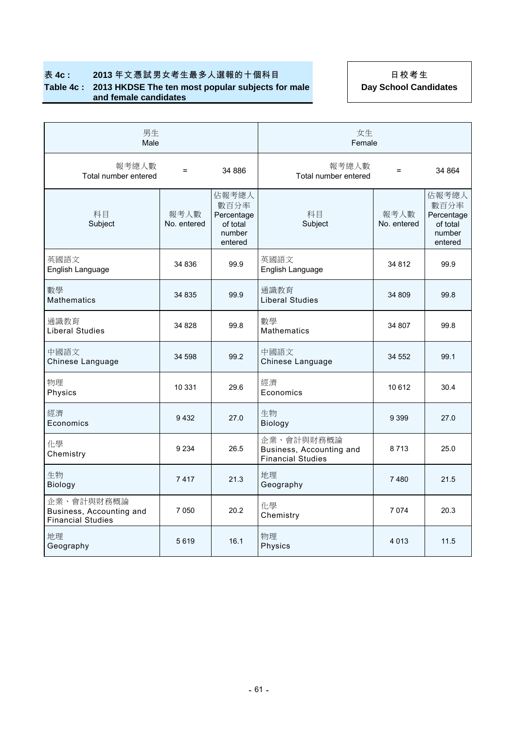## 表 4c : 2013年文憑試男女考生最多人選報的十個科目 | 日校考生 **Table 4c : 2013 HKDSE The ten most popular subjects for male and female candidates**

**Day School Candidates**

| 男生<br>Male                                                         |                     |                                                              | 女生<br>Female                                                       |                     |                                                              |  |
|--------------------------------------------------------------------|---------------------|--------------------------------------------------------------|--------------------------------------------------------------------|---------------------|--------------------------------------------------------------|--|
| 報考總人數<br>Total number entered                                      | $\equiv$            | 34 886                                                       | 報考總人數<br>Total number entered                                      | $=$                 | 34 864                                                       |  |
| 科目<br>Subject                                                      | 報考人數<br>No. entered | 佔報考總人<br>數百分率<br>Percentage<br>of total<br>number<br>entered | 科目<br>Subject                                                      | 報考人數<br>No. entered | 佔報考總人<br>數百分率<br>Percentage<br>of total<br>number<br>entered |  |
| 英國語文<br>English Language                                           | 34 836              | 99.9                                                         | 英國語文<br>English Language                                           | 34 812              | 99.9                                                         |  |
| 數學<br><b>Mathematics</b>                                           | 34 835              | 99.9                                                         | 通識教育<br><b>Liberal Studies</b>                                     | 34 809              | 99.8                                                         |  |
| 通識教育<br><b>Liberal Studies</b>                                     | 34 828              | 99.8                                                         | 數學<br><b>Mathematics</b>                                           | 34 807              | 99.8                                                         |  |
| 中國語文<br>Chinese Language                                           | 34 598              | 99.2                                                         | 中國語文<br>Chinese Language                                           | 34 552              | 99.1                                                         |  |
| 物理<br>Physics                                                      | 10 331              | 29.6                                                         | 經濟<br>Economics                                                    | 10612               | 30.4                                                         |  |
| 經濟<br>Economics                                                    | 9432                | 27.0                                                         | 生物<br>Biology                                                      | 9 3 9 9             | 27.0                                                         |  |
| 化學<br>Chemistry                                                    | 9 2 3 4             | 26.5                                                         | 企業、會計與財務概論<br>Business, Accounting and<br><b>Financial Studies</b> | 8713                | 25.0                                                         |  |
| 生物<br>Biology                                                      | 7417                | 21.3                                                         | 地理<br>Geography                                                    | 7480                | 21.5                                                         |  |
| 企業、會計與財務概論<br>Business, Accounting and<br><b>Financial Studies</b> | 7 0 5 0             | 20.2                                                         | 化學<br>Chemistry                                                    | 7074                | 20.3                                                         |  |
| 地理<br>Geography                                                    | 5619                | 16.1                                                         | 物理<br>Physics                                                      | 4 0 1 3             | 11.5                                                         |  |